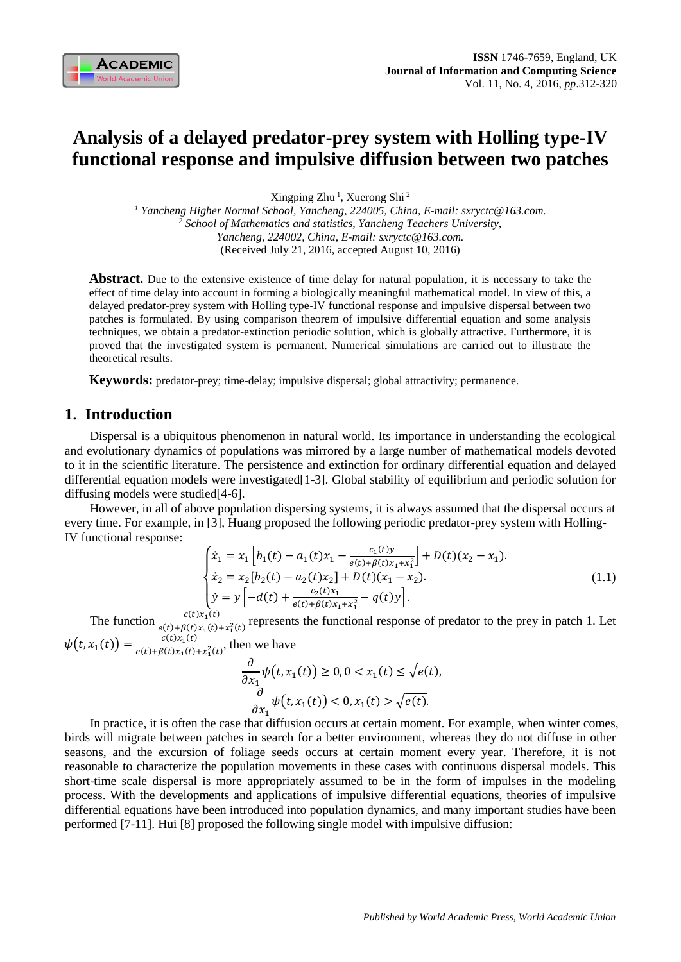

# **Analysis of a delayed predator-prey system with Holling type-IV functional response and impulsive diffusion between two patches**

Xingping Zhu<sup>1</sup>, Xuerong Shi<sup>2</sup>

*<sup>1</sup> Yancheng Higher Normal School, Yancheng, 224005, China, E-mail: sxryctc@163.com. <sup>2</sup> School of Mathematics and statistics, Yancheng Teachers University, Yancheng, 224002, China, E-mail: sxryctc@163.com.* (Received July 21, 2016, accepted August 10, 2016)

Abstract. Due to the extensive existence of time delay for natural population, it is necessary to take the effect of time delay into account in forming a biologically meaningful mathematical model. In view of this, a delayed predator-prey system with Holling type-IV functional response and impulsive dispersal between two patches is formulated. By using comparison theorem of impulsive differential equation and some analysis techniques, we obtain a predator-extinction periodic solution, which is globally attractive. Furthermore, it is proved that the investigated system is permanent. Numerical simulations are carried out to illustrate the theoretical results.

**Keywords:** predator-prey; time-delay; impulsive dispersal; global attractivity; permanence.

# **1. Introduction**

Dispersal is a ubiquitous phenomenon in natural world. Its importance in understanding the ecological and evolutionary dynamics of populations was mirrored by a large number of mathematical models devoted to it in the scientific literature. The persistence and extinction for ordinary differential equation and delayed differential equation models were investigated[1-3]. Global stability of equilibrium and periodic solution for diffusing models were studied[4-6].

However, in all of above population dispersing systems, it is always assumed that the dispersal occurs at every time. For example, in [3], Huang proposed the following periodic predator-prey system with Holling-IV functional response:

$$
\begin{cases}\n\dot{x}_1 = x_1 \left[ b_1(t) - a_1(t)x_1 - \frac{c_1(t)y}{e(t) + \beta(t)x_1 + x_1^2} \right] + D(t)(x_2 - x_1). \\
\dot{x}_2 = x_2 \left[ b_2(t) - a_2(t)x_2 \right] + D(t)(x_1 - x_2). \\
\dot{y} = y \left[ -d(t) + \frac{c_2(t)x_1}{e(t) + \beta(t)x_1 + x_1^2} - q(t)y \right].\n\end{cases}
$$
\n(1.1)

The function  $\frac{c(t)x_1(t)}{e(t)+\beta(t)x_1(t)+x_1^2(t)}$  represents the functional response of predator to the prey in patch 1. Let

 $\psi(t, x_1(t)) = \frac{c(t)x_1(t)}{e(t) + B(t)x_1(t)}$  $\frac{c(t)x_1(t)}{e(t)+\beta(t)x_1(t)+x_1^2(t)}$ , then we have

$$
\frac{\partial}{\partial x_1} \psi(t, x_1(t)) \ge 0, 0 < x_1(t) \le \sqrt{e(t)},
$$
\n
$$
\frac{\partial}{\partial x_1} \psi(t, x_1(t)) < 0, x_1(t) > \sqrt{e(t)}.
$$

In practice, it is often the case that diffusion occurs at certain moment. For example, when winter comes, birds will migrate between patches in search for a better environment, whereas they do not diffuse in other seasons, and the excursion of foliage seeds occurs at certain moment every year. Therefore, it is not reasonable to characterize the population movements in these cases with continuous dispersal models. This short-time scale dispersal is more appropriately assumed to be in the form of impulses in the modeling process. With the developments and applications of impulsive differential equations, theories of impulsive differential equations have been introduced into population dynamics, and many important studies have been performed [7-11]. Hui [8] proposed the following single model with impulsive diffusion: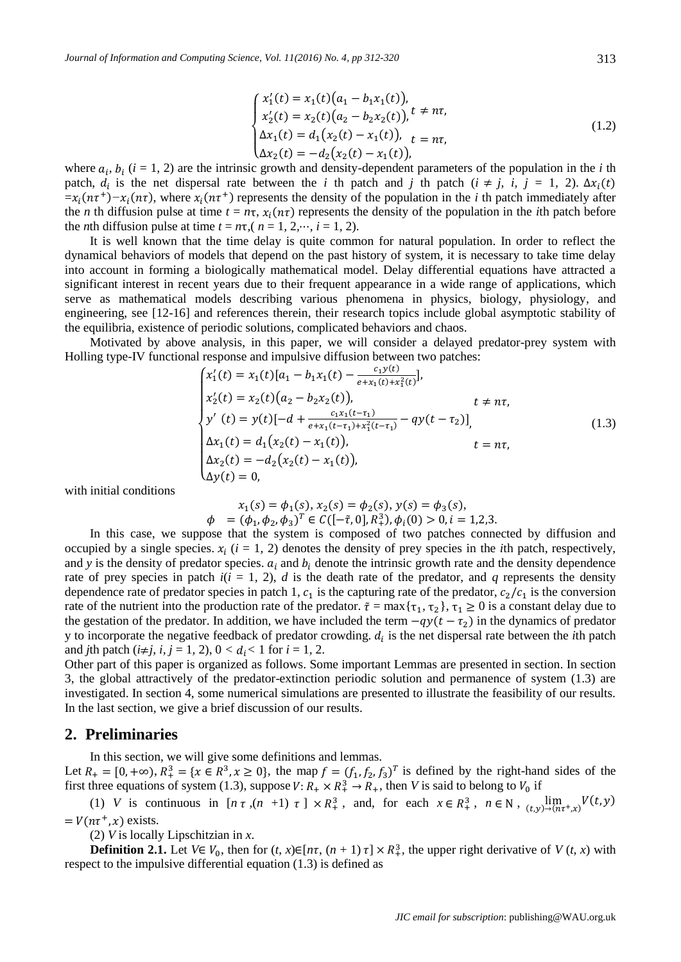$$
\begin{cases}\nx_1'(t) = x_1(t)(a_1 - b_1x_1(t)), \\
x_2'(t) = x_2(t)(a_2 - b_2x_2(t)), \\
\Delta x_1(t) = d_1(x_2(t) - x_1(t)), \\
\Delta x_2(t) = -d_2(x_2(t) - x_1(t)),\n\end{cases}
$$
\n(1.2)

where  $a_i$ ,  $b_i$  ( $i = 1, 2$ ) are the intrinsic growth and density-dependent parameters of the population in the *i* th patch,  $d_i$  is the net dispersal rate between the *i* th patch and *j* th patch ( $i \neq j$ ,  $i$ ,  $j = 1, 2$ ).  $\Delta x_i(t)$  $=x_i(n\tau^+)$ − $x_i(n\tau)$ , where  $x_i(n\tau^+)$  represents the density of the population in the *i* th patch immediately after the *n* th diffusion pulse at time  $t = n\tau$ ,  $x_i(n\tau)$  represents the density of the population in the *i*th patch before the *n*th diffusion pulse at time  $t = n\tau$ ,  $(n = 1, 2, \dots, i = 1, 2)$ .

It is well known that the time delay is quite common for natural population. In order to reflect the dynamical behaviors of models that depend on the past history of system, it is necessary to take time delay into account in forming a biologically mathematical model. Delay differential equations have attracted a significant interest in recent years due to their frequent appearance in a wide range of applications, which serve as mathematical models describing various phenomena in physics, biology, physiology, and engineering, see [12-16] and references therein, their research topics include global asymptotic stability of the equilibria, existence of periodic solutions, complicated behaviors and chaos.

Motivated by above analysis, in this paper, we will consider a delayed predator-prey system with Holling type-IV functional response and impulsive diffusion between two patches:

$$
\begin{cases}\nx_1'(t) = x_1(t)[a_1 - b_1x_1(t) - \frac{c_1y(t)}{e + x_1(t) + x_1^2(t)}], \\
x_2'(t) = x_2(t)(a_2 - b_2x_2(t)), & t \neq n\tau, \\
y'(t) = y(t)[-d + \frac{c_1x_1(t - \tau_1)}{e + x_1(t - \tau_1) + x_1^2(t - \tau_1)} - qy(t - \tau_2)], \\
\Delta x_1(t) = d_1(x_2(t) - x_1(t)), & t = n\tau, \\
\Delta x_2(t) = -d_2(x_2(t) - x_1(t)), & t = n\tau, \\
\Delta y(t) = 0,\n\end{cases}
$$
\n(1.3)

with initial conditions

$$
x_1(s) = \phi_1(s), x_2(s) = \phi_2(s), y(s) = \phi_3(s),
$$
  
\n
$$
\phi = (\phi_1, \phi_2, \phi_3)^T \in C([-\tilde{\tau}, 0], R_+^3), \phi_i(0) > 0, i = 1, 2, 3.
$$

In this case, we suppose that the system is composed of two patches connected by diffusion and occupied by a single species.  $x_i$  ( $i = 1, 2$ ) denotes the density of prey species in the *i*th patch, respectively, and *y* is the density of predator species.  $a_i$  and  $b_i$  denote the intrinsic growth rate and the density dependence rate of prey species in patch  $i(i = 1, 2)$ , *d* is the death rate of the predator, and *q* represents the density dependence rate of predator species in patch 1,  $c_1$  is the capturing rate of the predator,  $c_2/c_1$  is the conversion rate of the nutrient into the production rate of the predator.  $\tilde{\tau} = \max{\tau_1, \tau_2}$ ,  $\tau_1 \ge 0$  is a constant delay due to the gestation of the predator. In addition, we have included the term  $-qy(t - \tau_2)$  in the dynamics of predator y to incorporate the negative feedback of predator crowding.  $d_i$  is the net dispersal rate between the *i*th patch and *j*th patch ( $i\neq j$ ,  $i, j = 1, 2$ ),  $0 < d_i < 1$  for  $i = 1, 2$ .

Other part of this paper is organized as follows. Some important Lemmas are presented in section. In section 3, the global attractively of the predator-extinction periodic solution and permanence of system (1.3) are investigated. In section 4, some numerical simulations are presented to illustrate the feasibility of our results. In the last section, we give a brief discussion of our results.

## **2. Preliminaries**

In this section, we will give some definitions and lemmas.

Let  $R_+ = [0, +\infty)$ ,  $R_+^3 = \{x \in \mathbb{R}^3, x \ge 0\}$ , the map  $f = (f_1, f_2, f_3)^T$  is defined by the right-hand sides of the first three equations of system (1.3), suppose  $V: R_+ \times R_+^3 \to R_+$ , then V is said to belong to  $V_0$  if

(1) *V* is continuous in  $[n \tau, (n+1) \tau] \times R_+^3$ , and, for each  $x \in R_+^3$ ,  $n \in \mathbb{N}$ ,  $\lim_{(t,y)\to (n\tau^+,x)} V(t,y)$  $= V(n\tau^+, x)$  exists.

(2) *V* is locally Lipschitzian in *x*.

**Definition 2.1.** Let  $V \in V_0$ , then for  $(t, x) \in [n\tau, (n + 1) \tau] \times R_+^3$ , the upper right derivative of  $V(t, x)$  with respect to the impulsive differential equation (1.3) is defined as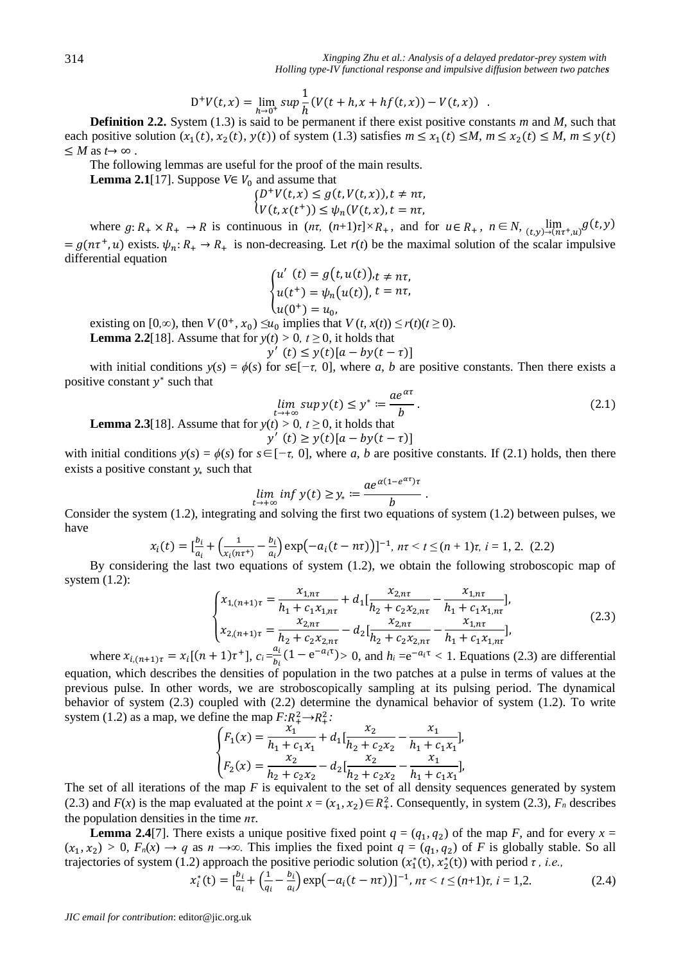$$
D^{+}V(t,x) = \lim_{h \to 0^{+}} \sup \frac{1}{h}(V(t+h,x+h f(t,x)) - V(t,x)) .
$$

**Definition 2.2.** System (1.3) is said to be permanent if there exist positive constants *m* and *M,* such that each positive solution  $(x_1(t), x_2(t), y(t))$  of system (1.3) satisfies  $m \le x_1(t) \le M$ ,  $m \le x_2(t) \le M$ ,  $m \le y(t)$  $\leq M$  as  $t \to \infty$ .

The following lemmas are useful for the proof of the main results.

**Lemma 2.1**[17]. Suppose  $V \in V_0$  and assume that

$$
\begin{cases} D^+V(t,x) \le g(t,V(t,x)), t \neq n\tau, \\ V(t,x(t^+)) \le \psi_n(V(t,x), t = n\tau, \end{cases}
$$

where  $g: R_+ \times R_+ \to R$  is continuous in  $(n\tau, (n+1)\tau] \times R_+$ , and for  $u \in R_+$ ,  $n \in N$ ,  $\lim_{(t,y)\to (n\tau^+, u)} g(t,y)$  $= g(n\tau^+, u)$  exists.  $\psi_n: R_+ \to R_+$  is non-decreasing. Let  $r(t)$  be the maximal solution of the scalar impulsive differential equation

$$
\begin{cases} u'(t) = g(t, u(t))_{,t \neq n\tau, \\ u(t^+) = \psi_n(u(t)), t = n\tau, \\ u(0^+) = u_0, \end{cases}
$$

existing on  $[0, \infty)$ , then  $V(0^+, x_0) \le u_0$  implies that  $V(t, x(t)) \le r(t)(t \ge 0)$ .

**Lemma 2.2**[18]. Assume that for  $y(t) > 0$ ,  $t \ge 0$ , it holds that  $y'$ 

$$
(t) \le y(t)[a - by(t - \tau)]
$$

with initial conditions  $y(s) = \phi(s)$  for  $s \in [-\tau, 0]$ , where *a*, *b* are positive constants. Then there exists a positive constant  $y^*$  such that

$$
\lim_{t \to +\infty} \sup y(t) \le y^* := \frac{ae^{\alpha \tau}}{b}.
$$
\n(2.1)

.

**Lemma 2.3**[18]. Assume that for  $y(t) > 0$ ,  $t \ge 0$ , it holds that

$$
y'(t) \ge y(t)[a - by(t - \tau)]
$$

with initial conditions  $y(s) = \phi(s)$  for  $s \in [-\tau, 0]$ , where *a*, *b* are positive constants. If (2.1) holds, then there exists a positive constant  $y_*$  such that

$$
\lim_{t \to +\infty} \inf y(t) \ge y_* := \frac{ae^{\alpha(1 - e^{\alpha \tau})\tau}}{b}
$$

Consider the system (1.2), integrating and solving the first two equations of system (1.2) between pulses, we have

$$
x_i(t) = \left[\frac{b_i}{a_i} + \left(\frac{1}{x_i(n\tau^+)} - \frac{b_i}{a_i}\right) \exp\left(-a_i(t - n\tau)\right)\right]^{-1}, n\tau < t \le (n+1)\tau, i = 1, 2. (2.2)
$$

By considering the last two equations of system (1.2), we obtain the following stroboscopic map of system (1.2):

$$
\begin{cases}\n x_{1,(n+1)\tau} = \frac{x_{1,n\tau}}{h_1 + c_1 x_{1,n\tau}} + d_1 \left[ \frac{x_{2,n\tau}}{h_2 + c_2 x_{2,n\tau}} - \frac{x_{1,n\tau}}{h_1 + c_1 x_{1,n\tau}} \right], \\
 x_{2,(n+1)\tau} = \frac{x_{2,n\tau}}{h_2 + c_2 x_{2,n\tau}} - d_2 \left[ \frac{x_{2,n\tau}}{h_2 + c_2 x_{2,n\tau}} - \frac{x_{1,n\tau}}{h_1 + c_1 x_{1,n\tau}} \right],\n \end{cases}
$$
\n(2.3)

where  $x_{i,(n+1)\tau} = x_i[(n+1)\tau^+]$ ,  $c_i = \frac{a_i}{b_i}$  $\frac{a_i}{b_i}$  (1 – e<sup>-a<sub>i</sub>T</sup>) > 0, and  $h_i = e^{-a_i\tau} < 1$ . Equations (2.3) are differential equation, which describes the densities of population in the two patches at a pulse in terms of values at the previous pulse. In other words, we are stroboscopically sampling at its pulsing period. The dynamical behavior of system (2.3) coupled with (2.2) determine the dynamical behavior of system (1.2). To write system (1.2) as a map, we define the map  $F:R^2_+\to R^2_+$ :

$$
\begin{cases}\nF_1(x) = \frac{x_1}{h_1 + c_1 x_1} + d_1 \left[ \frac{x_2}{h_2 + c_2 x_2} - \frac{x_1}{h_1 + c_1 x_1} \right], \\
F_2(x) = \frac{x_2}{h_2 + c_2 x_2} - d_2 \left[ \frac{x_2}{h_2 + c_2 x_2} - \frac{x_1}{h_1 + c_1 x_1} \right],\n\end{cases}
$$

The set of all iterations of the map *F* is equivalent to the set of all density sequences generated by system (2.3) and  $F(x)$  is the map evaluated at the point  $x = (x_1, x_2) \in R_+^2$ . Consequently, in system (2.3),  $F_n$  describes the population densities in the time *nτ*.

**Lemma 2.4**[7]. There exists a unique positive fixed point  $q = (q_1, q_2)$  of the map *F*, and for every  $x =$  $(x_1, x_2) > 0$ ,  $F_n(x) \to q$  as  $n \to \infty$ . This implies the fixed point  $q = (q_1, q_2)$  of *F* is globally stable. So all trajectories of system (1.2) approach the positive periodic solution  $(x_1^*(t), x_2^*(t))$  with period  $\tau$ , *i.e.*,

$$
x_i^*(t) = \left[\frac{b_i}{a_i} + \left(\frac{1}{q_i} - \frac{b_i}{a_i}\right) \exp\left(-a_i(t - n\tau)\right)\right]^{-1}, \ n\tau < t \le (n+1)\tau, \ i = 1, 2. \tag{2.4}
$$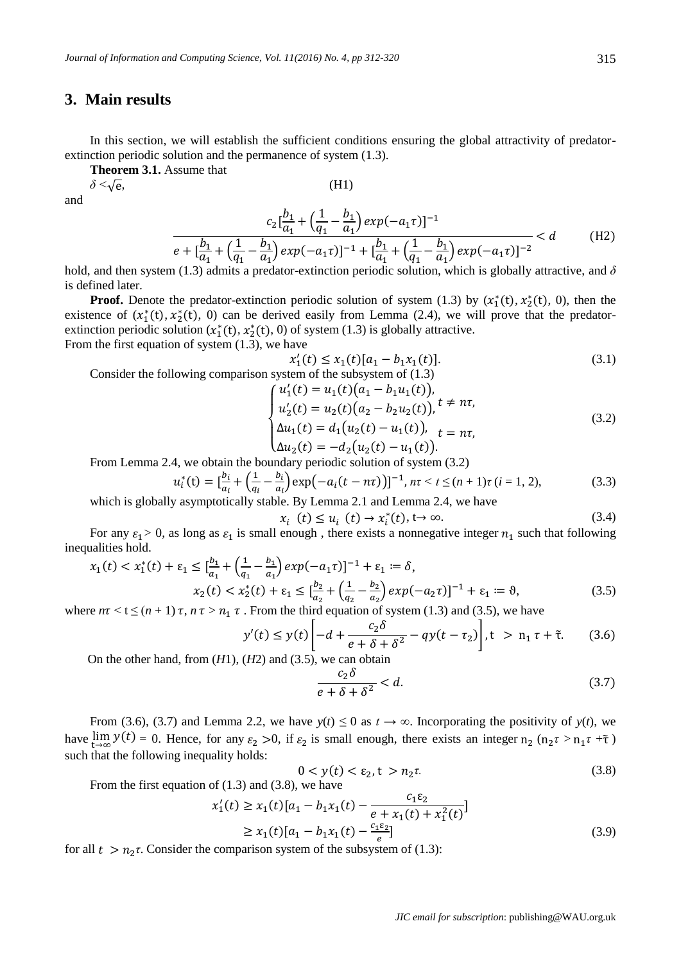# **3. Main results**

In this section, we will establish the sufficient conditions ensuring the global attractivity of predatorextinction periodic solution and the permanence of system (1.3).

**Theorem 3.1.** Assume that

*δ <*√e*,* (H1)

and

$$
\frac{c_2\left[\frac{b_1}{a_1} + \left(\frac{1}{q_1} - \frac{b_1}{a_1}\right)exp(-a_1\tau)\right]^{-1}}{e + \left[\frac{b_1}{a_1} + \left(\frac{1}{q_1} - \frac{b_1}{a_1}\right)exp(-a_1\tau)\right]^{-1} + \left[\frac{b_1}{a_1} + \left(\frac{1}{q_1} - \frac{b_1}{a_1}\right)exp(-a_1\tau)\right]^{-2}} < d
$$
 (H2)

hold, and then system (1.3) admits a predator-extinction periodic solution, which is globally attractive, and *δ*  is defined later*.*

**Proof.** Denote the predator-extinction periodic solution of system (1.3) by  $(x_1^*(t), x_2^*(t), 0)$ , then the existence of  $(x_1^*(t), x_2^*(t), 0)$  can be derived easily from Lemma (2.4), we will prove that the predatorextinction periodic solution  $(x_1^*(t), x_2^*(t), 0)$  of system (1.3) is globally attractive. From the first equation of system (1.3), we have

$$
x_1'(t) \le x_1(t)[a_1 - b_1 x_1(t)].
$$
\n
$$
x_1'(t) \le x_1(t) [a_1 - b_1 x_1(t)].
$$
\n(3.1)

Consider the following comparison system of the subsystem of (1.3)

$$
\begin{cases}\nu_1'(t) = u_1(t)(a_1 - b_1u_1(t)),\nu_2'(t) = u_2(t)(a_2 - b_2u_2(t)), \Delta u_1(t) = d_1(u_2(t) - u_1(t)), \n\Delta u_2(t) = -d_2(u_2(t) - u_1(t)).\n\end{cases}
$$
\n(3.2)

From Lemma 2.4, we obtain the boundary periodic solution of system (3.2)

$$
u_i^*(t) = \left[\frac{b_i}{a_i} + \left(\frac{1}{q_i} - \frac{b_i}{a_i}\right) \exp\left(-a_i(t - n\tau)\right)\right]^{-1}, \ n\tau < t \le (n+1)\tau \ (i = 1, \ 2),\tag{3.3}
$$

which is globally asymptotically stable. By Lemma 2.1 and Lemma 2.4, we have

$$
x_i(t) \le u_i(t) \to x_i^*(t), t \to \infty.
$$
 (3.4)

For any  $\varepsilon_1 > 0$ , as long as  $\varepsilon_1$  is small enough, there exists a nonnegative integer  $n_1$  such that following inequalities hold.

$$
x_1(t) < x_1^*(t) + \varepsilon_1 \le \left[\frac{b_1}{a_1} + \left(\frac{1}{a_1} - \frac{b_1}{a_1}\right) \exp(-a_1 \tau)\right]^{-1} + \varepsilon_1 \coloneqq \delta,
$$
\n
$$
x_2(t) < x_2^*(t) + \varepsilon_1 \le \left[\frac{b_2}{a_2} + \left(\frac{1}{a_2} - \frac{b_2}{a_2}\right) \exp(-a_2 \tau)\right]^{-1} + \varepsilon_1 \coloneqq \vartheta,\tag{3.5}
$$

where  $n\tau \le t \le (n + 1) \tau$ ,  $n\tau > n_1 \tau$ . From the third equation of system (1.3) and (3.5), we have

$$
y'(t) \le y(t) \left[ -d + \frac{c_2 \delta}{e + \delta + \delta^2} - qy(t - \tau_2) \right], \quad t > n_1 \tau + \tilde{\tau}.
$$
 (3.6)

On the other hand, from (*H*1), (*H*2) and (3.5), we can obtain

$$
\frac{c_2 \delta}{e + \delta + \delta^2} < d. \tag{3.7}
$$

From (3.6), (3.7) and Lemma 2.2, we have  $y(t) \leq 0$  as  $t \to \infty$ . Incorporating the positivity of  $y(t)$ , we have  $\lim_{t \to \infty} y(t) = 0$ . Hence, for any  $\varepsilon_2 > 0$ , if  $\varepsilon_2$  is small enough, there exists an integer  $n_2$  ( $n_2 \tau > n_1 \tau + \tilde{\tau}$ ) such that the following inequality holds:

$$
0 < y(t) < \varepsilon_2, \quad t > n_2 \tag{3.8}
$$

From the first equation of (1.3) and (3.8), we have

$$
x'_1(t) \ge x_1(t)[a_1 - b_1x_1(t) - \frac{c_1\varepsilon_2}{e + x_1(t) + x_1^2(t)}]
$$
  
 
$$
\ge x_1(t)[a_1 - b_1x_1(t) - \frac{c_1\varepsilon_2}{e}]
$$
 (3.9)

 $=$   $\frac{1}{2}$   $\frac{1}{2}$   $\frac{1}{2}$   $\frac{1}{2}$   $\frac{1}{2}$   $\frac{1}{2}$   $\frac{1}{2}$   $\frac{1}{2}$   $\frac{1}{2}$   $\frac{1}{2}$   $\frac{1}{2}$   $\frac{1}{2}$   $\frac{1}{2}$   $\frac{1}{2}$   $\frac{1}{2}$  for all  $t > n_2 \tau$ . Consider the comparison system of the subsystem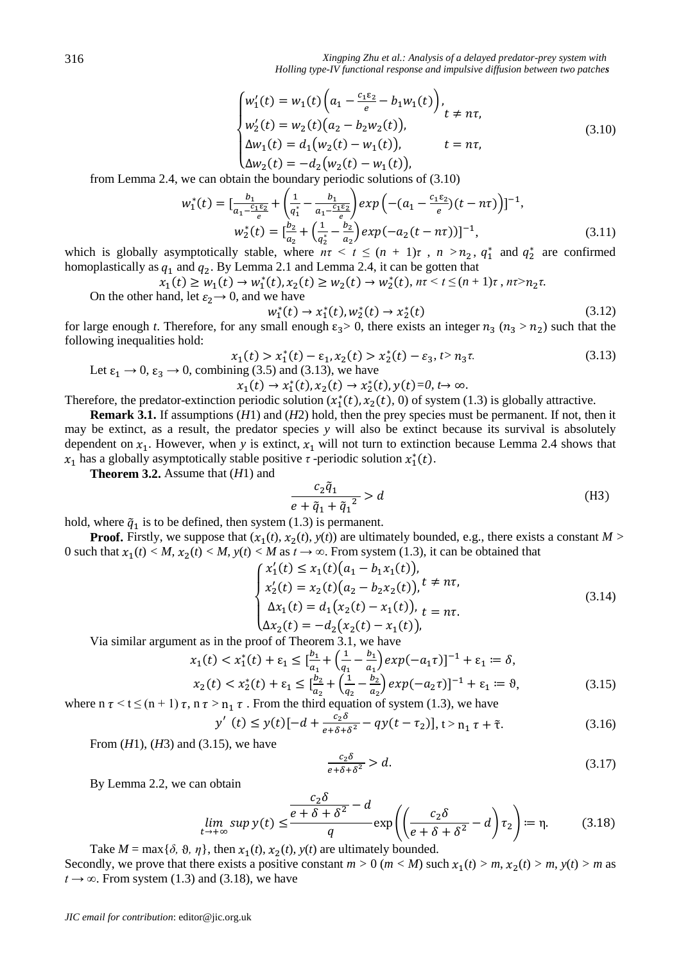*Xingping Zhu et al.: Analysis of a delayed predator-prey system with Holling type-IV functional response and impulsive diffusion between two patches*

$$
\begin{cases}\nw_1'(t) = w_1(t) \left( a_1 - \frac{c_1 \varepsilon_2}{e} - b_1 w_1(t) \right), \\
w_2'(t) = w_2(t) \left( a_2 - b_2 w_2(t) \right), \\
\Delta w_1(t) = d_1 \left( w_2(t) - w_1(t) \right), \\
\Delta w_2(t) = -d_2 \left( w_2(t) - w_1(t) \right),\n\end{cases} \tag{3.10}
$$

from Lemma 2.4, we can obtain the boundary periodic solutions of (3.10)

$$
w_1^*(t) = \left[\frac{b_1}{a_1 - \frac{c_1 \varepsilon_2}{e}} + \left(\frac{1}{a_1^*} - \frac{b_1}{a_1 - \frac{c_1 \varepsilon_2}{e}}\right) exp\left(-(a_1 - \frac{c_1 \varepsilon_2}{e})(t - n\tau)\right)\right]^{-1},
$$
  
\n
$$
w_2^*(t) = \left[\frac{b_2}{a_2} + \left(\frac{1}{a_2^*} - \frac{b_2}{a_2}\right) exp\left(-a_2(t - n\tau)\right)\right]^{-1},
$$
\n(3.11)

which is globally asymptotically stable, where  $n\tau < t \leq (n + 1)\tau$ ,  $n > n_2$ ,  $q_1^*$  and  $q_2^*$  are confirmed homoplastically as  $q_1$  and  $q_2$ . By Lemma 2.1 and Lemma 2.4, it can be gotten that

$$
x_1(t) \ge w_1(t) \to w_1^*(t), x_2(t) \ge w_2(t) \to w_2^*(t), n\tau < t \le (n+1)\tau, n\tau > n_2\tau.
$$
  
On the other hand, let  $\varepsilon_2 \to 0$ , and we have

$$
w_1^*(t) \to x_1^*(t), w_2^*(t) \to x_2^*(t)
$$
\n(3.12)

for large enough *t*. Therefore, for any small enough  $\varepsilon_3 > 0$ , there exists an integer  $n_3$  ( $n_3 > n_2$ ) such that the following inequalities hold:

$$
x_1(t) > x_1^*(t) - \varepsilon_1, x_2(t) > x_2^*(t) - \varepsilon_3, t > n_3 \tau.
$$
\n
$$
\text{Let } \varepsilon_1 \to 0, \ \varepsilon_3 \to 0, \text{ combining (3.5) and (3.13), we have}
$$
\n
$$
\tag{3.13}
$$

 $x_1(t) \to x_1^*(t), x_2(t) \to x_2^*(t), y(t) = 0, t \to \infty.$ 

Therefore, the predator-extinction periodic solution  $(x_1^*(t), x_2(t), 0)$  of system (1.3) is globally attractive.

**Remark 3.1.** If assumptions (*H*1) and (*H*2) hold, then the prey species must be permanent. If not, then it may be extinct, as a result, the predator species *y* will also be extinct because its survival is absolutely dependent on  $x_1$ . However, when y is extinct,  $x_1$  will not turn to extinction because Lemma 2.4 shows that  $x_1$  has a globally asymptotically stable positive  $\tau$ -periodic solution  $x_1^*(t)$ .

**Theorem 3.2.** Assume that (*H*1) and

$$
\frac{c_2\tilde{q}_1}{e + \tilde{q}_1 + \tilde{q}_1^2} > d \tag{H3}
$$

hold, where  $\tilde{q}_1$  is to be defined, then system (1.3) is permanent.

**Proof.** Firstly, we suppose that  $(x_1(t), x_2(t), y(t))$  are ultimately bounded, e.g., there exists a constant  $M >$ 0 such that  $x_1(t) < M$ ,  $x_2(t) < M$ ,  $y(t) < M$  as  $t \to \infty$ . From system (1.3), it can be obtained that

$$
\begin{cases}\nx_1'(t) \le x_1(t)(a_1 - b_1x_1(t)), \\
x_2'(t) = x_2(t)(a_2 - b_2x_2(t)), \\
\Delta x_1(t) = d_1(x_2(t) - x_1(t)), \\
\Delta x_2(t) = -d_2(x_2(t) - x_1(t)),\n\end{cases} \tag{3.14}
$$

Via similar argument as in the proof of Theorem 3.1, we have

$$
x_1(t) < x_1^*(t) + \varepsilon_1 \le \left[\frac{b_1}{a_1} + \left(\frac{1}{q_1} - \frac{b_1}{a_1}\right) \exp(-a_1 \tau)\right]^{-1} + \varepsilon_1 \coloneqq \delta,
$$
\n
$$
x_2(t) < x_2^*(t) + \varepsilon_1 \le \left[\frac{b_2}{a_2} + \left(\frac{1}{q_2} - \frac{b_2}{a_2}\right) \exp(-a_2 \tau)\right]^{-1} + \varepsilon_1 \coloneqq \vartheta,\tag{3.15}
$$

where  $n \tau < t \leq (n + 1) \tau$ ,  $n \tau > n_1 \tau$ . From the third equation of system (1.3), we have

$$
y'(t) \le y(t)[-d + \frac{c_2 \delta}{e + \delta + \delta^2} - qy(t - \tau_2)], t > n_1 \tau + \tilde{\tau}.
$$
 (3.16)

From (*H*1), (*H*3) and (3.15), we have

$$
\frac{c_2 \delta}{e + \delta + \delta^2} > d. \tag{3.17}
$$

By Lemma 2.2, we can obtain

$$
\lim_{t \to +\infty} \sup y(t) \le \frac{\frac{c_2 \delta}{e + \delta + \delta^2} - d}{q} \exp\left(\left(\frac{c_2 \delta}{e + \delta + \delta^2} - d\right) \tau_2\right) := \eta. \tag{3.18}
$$

Take  $M = \max{\{\delta, \vartheta, \eta\}}$ , then  $x_1(t), x_2(t), y(t)$  are ultimately bounded. Secondly, we prove that there exists a positive constant  $m > 0$  ( $m < M$ ) such  $x_1(t) > m$ ,  $x_2(t) > m$ ,  $y(t) > m$  as  $t \rightarrow \infty$ . From system (1.3) and (3.18), we have

*JIC email for contribution*: editor@jic.org.uk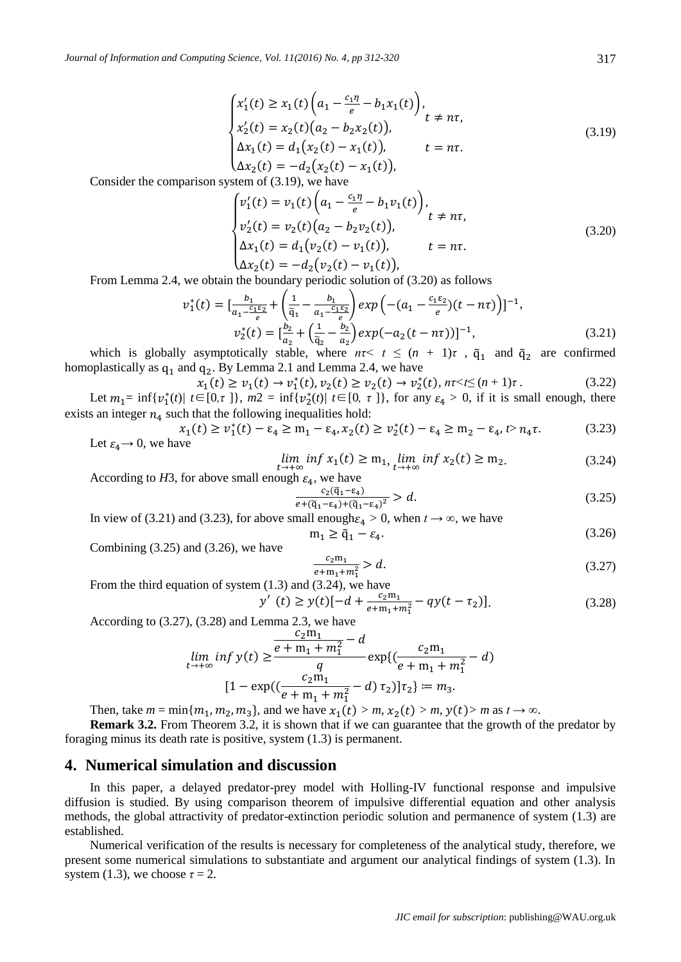$$
\begin{cases}\nx_1'(t) \ge x_1(t) \left(a_1 - \frac{c_1 \eta}{e} - b_1 x_1(t)\right), \\
x_2'(t) = x_2(t) (a_2 - b_2 x_2(t)), \\
\Delta x_1(t) = d_1(x_2(t) - x_1(t)), \qquad t = n\tau.\n\end{cases} \tag{3.19}
$$

$$
\Delta x_2(t) = -d_2(x_2(t) - x_1(t)),
$$

Consider the comparison system of (3.19), we have

$$
\begin{cases}\nv_1'(t) = v_1(t) \left( a_1 - \frac{c_1 \eta}{e} - b_1 v_1(t) \right), \\
v_2'(t) = v_2(t) (a_2 - b_2 v_2(t)), \\
\Delta x_1(t) = d_1 (v_2(t) - v_1(t)), \\
\Delta x_2(t) = -d_2 (v_2(t) - v_1(t)),\n\end{cases} \tag{3.20}
$$

From Lemma 2.4, we obtain the boundary periodic solution of (3.20) as follows

$$
v_1^*(t) = \left[\frac{b_1}{a_1 - \frac{c_1 \varepsilon_2}{e}} + \left(\frac{1}{\tilde{q}_1} - \frac{b_1}{a_1 - \frac{c_1 \varepsilon_2}{e}}\right) exp\left(-(a_1 - \frac{c_1 \varepsilon_2}{e})(t - n\tau)\right)\right]^{-1},
$$
  
\n
$$
v_2^*(t) = \left[\frac{b_2}{a_2} + \left(\frac{1}{\tilde{q}_2} - \frac{b_2}{a_2}\right) exp(-a_2(t - n\tau))\right]^{-1},
$$
\n(3.21)

which is globally asymptotically stable, where  $n\tau < t \leq (n + 1)\tau$ ,  $\tilde{q}_1$  and  $\tilde{q}_2$  are confirmed homoplastically as  $q_1$  and  $q_2$ . By Lemma 2.1 and Lemma 2.4, we have

$$
x_1(t) \ge v_1(t) \to v_1^*(t), v_2(t) \ge v_2(t) \to v_2^*(t), n\tau \le (n+1)\tau. \tag{3.22}
$$

Let  $m_1 = \inf \{ v_1^*(t) / t \in [0, \tau] \}$ ,  $m_2 = \inf \{ v_2^*(t) / t \in [0, \tau] \}$ , for any  $\varepsilon_4 > 0$ , if it is small enough, there exists an integer  $n_4$  such that the following inequalities hold:

$$
x_1(t) \ge v_1^*(t) - \varepsilon_4 \ge m_1 - \varepsilon_4, x_2(t) \ge v_2^*(t) - \varepsilon_4 \ge m_2 - \varepsilon_4, t > n_4 \tau. \tag{3.23}
$$
  
Let  $\varepsilon_4 \to 0$ , we have

$$
\lim_{t \to +\infty} \inf x_1(t) \ge m_1, \lim_{t \to +\infty} \inf x_2(t) \ge m_2. \tag{3.24}
$$

According to *H*3, for above small enough  $\varepsilon_4$ , we have

$$
\frac{c_2(\tilde{q}_1 - \varepsilon_4)}{e + (\tilde{q}_1 - \varepsilon_4) + (\tilde{q}_1 - \varepsilon_4)^2} > d. \tag{3.25}
$$

In view of (3.21) and (3.23), for above small enough $\varepsilon_4 > 0$ , when  $t \to \infty$ , we have  $m_1 \geq \tilde{q}_1 - \varepsilon_4.$  $(3.26)$ 

Combining  $(3.25)$  and  $(3.26)$ , we have

$$
\frac{c_2 \mathbf{m}_1}{e + \mathbf{m}_1 + m_1^2} > d. \tag{3.27}
$$

From the third equation of system (1.3) and (3.24), we have

$$
y'(t) \ge y(t)[-d + \frac{c_2 m_1}{e + m_1 + m_1^2} - qy(t - \tau_2)]. \tag{3.28}
$$

According to (3.27), (3.28) and Lemma 2.3, we have

$$
\lim_{t \to +\infty} \inf y(t) \ge \frac{\frac{c_2 m_1}{e + m_1 + m_1^2} - d}{q} \exp\left(\frac{c_2 m_1}{e + m_1 + m_1^2} - d\right)
$$

$$
[1 - \exp\left(\frac{c_2 m_1}{e + m_1 + m_1^2} - d\right) \tau_2\right) \tau_2] := m_3.
$$

Then, take  $m = \min\{m_1, m_2, m_3\}$ , and we have  $x_1(t) > m$ ,  $x_2(t) > m$ ,  $y(t) > m$  as  $t \to \infty$ .

**Remark 3.2.** From Theorem 3.2, it is shown that if we can guarantee that the growth of the predator by foraging minus its death rate is positive, system (1.3) is permanent.

#### **4. Numerical simulation and discussion**

In this paper, a delayed predator-prey model with Holling-IV functional response and impulsive diffusion is studied. By using comparison theorem of impulsive differential equation and other analysis methods, the global attractivity of predator-extinction periodic solution and permanence of system (1.3) are established.

Numerical verification of the results is necessary for completeness of the analytical study, therefore, we present some numerical simulations to substantiate and argument our analytical findings of system (1.3). In system (1.3), we choose  $\tau = 2$ .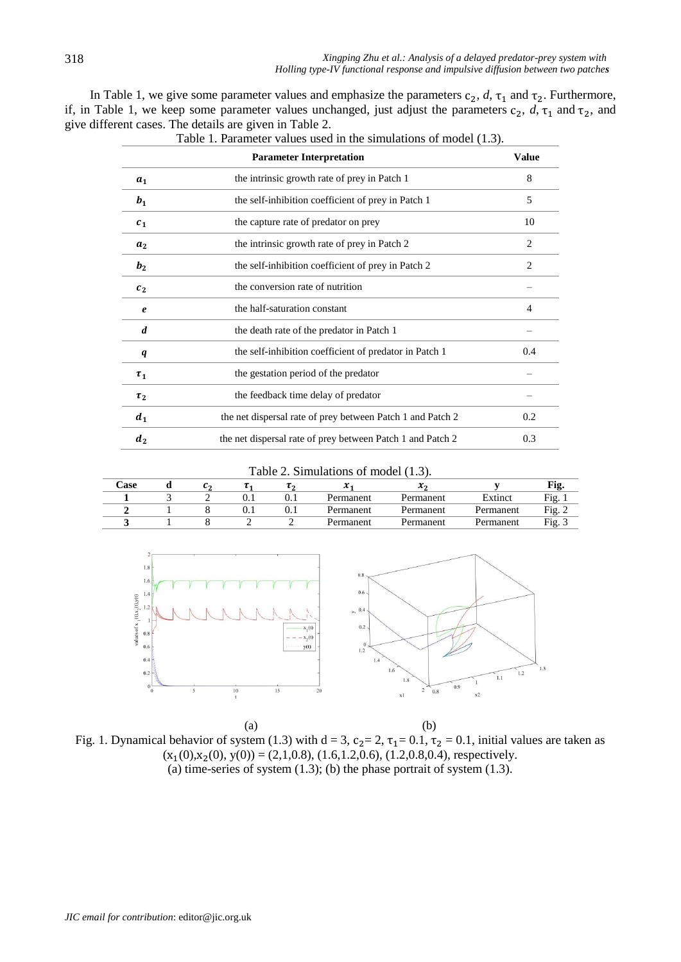| In Table 1, we give some parameter values and emphasize the parameters $c_2$ , $d$ , $\tau_1$ and $\tau_2$ . Furthermore,     |
|-------------------------------------------------------------------------------------------------------------------------------|
| if, in Table 1, we keep some parameter values unchanged, just adjust the parameters $c_2$ , $d$ , $\tau_1$ and $\tau_2$ , and |
| give different cases. The details are given in Table 2.                                                                       |

|                            | <b>Parameter Interpretation</b>                            | <b>Value</b>   |
|----------------------------|------------------------------------------------------------|----------------|
| a <sub>1</sub>             | the intrinsic growth rate of prey in Patch 1               | 8              |
| b <sub>1</sub>             | the self-inhibition coefficient of prey in Patch 1         | 5              |
| c <sub>1</sub>             | the capture rate of predator on prey                       | 10             |
| a <sub>2</sub>             | the intrinsic growth rate of prey in Patch 2               | $\overline{c}$ |
| b <sub>2</sub>             | the self-inhibition coefficient of prey in Patch 2         | 2              |
| c <sub>2</sub>             | the conversion rate of nutrition                           |                |
| $\boldsymbol{\mathcal{e}}$ | the half-saturation constant                               | 4              |
| d                          | the death rate of the predator in Patch 1                  |                |
| q                          | the self-inhibition coefficient of predator in Patch 1     | 0.4            |
| $\tau_1$                   | the gestation period of the predator                       |                |
| $\tau_2$                   | the feedback time delay of predator                        |                |
| d <sub>1</sub>             | the net dispersal rate of prey between Patch 1 and Patch 2 | 0.2            |
| d <sub>2</sub>             | the net dispersal rate of prey between Patch 1 and Patch 2 | 0.3            |

Table 1. Parameter values used in the simulations of model (1.3).

#### Table 2. Simulations of model (1.3).

| $\textcolor{red}{\text{Case}}$ |  |  | ∼         |           |           |          |
|--------------------------------|--|--|-----------|-----------|-----------|----------|
|                                |  |  | Permanent | Permanent | Extinct   | Fig. 722 |
|                                |  |  | Permanent | Permanent | Permanent | Fίσ      |
|                                |  |  | Permanent | Permanent | Permanent | Fig.     |



 $(a)$  (b) Fig. 1. Dynamical behavior of system (1.3) with  $d = 3$ ,  $c_2 = 2$ ,  $\tau_1 = 0.1$ ,  $\tau_2 = 0.1$ , initial values are taken as  $(x_1(0),x_2(0), y(0)) = (2,1,0.8), (1.6,1.2,0.6), (1.2,0.8,0.4),$  respectively. (a) time-series of system  $(1.3)$ ; (b) the phase portrait of system  $(1.3)$ .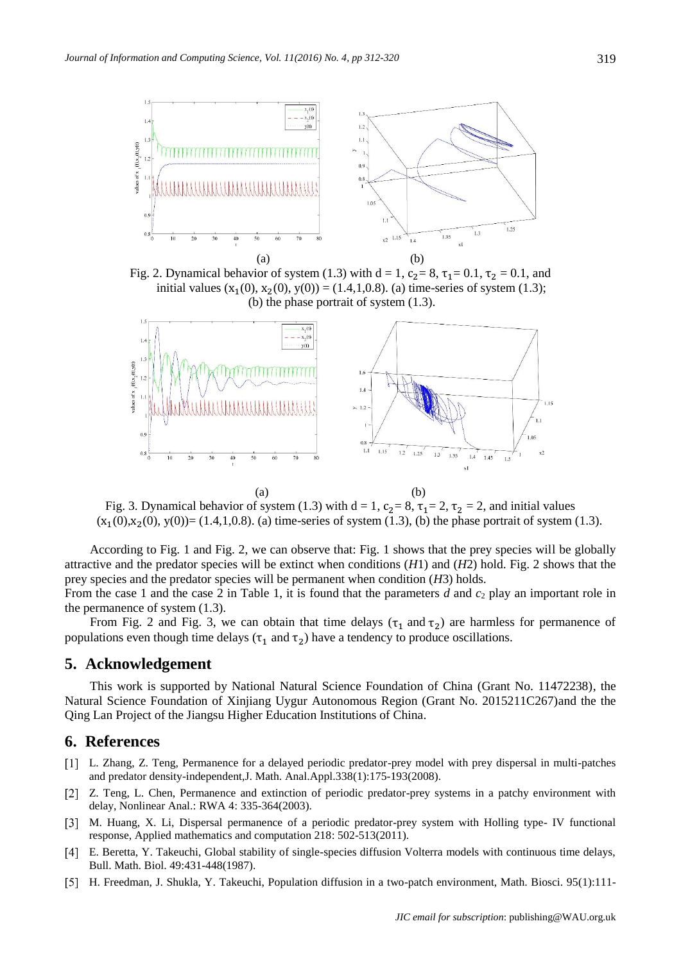

Fig. 2. Dynamical behavior of system (1.3) with  $d = 1$ ,  $c_2 = 8$ ,  $\tau_1 = 0.1$ ,  $\tau_2 = 0.1$ , and initial values  $(x_1(0), x_2(0), y(0)) = (1.4, 1, 0.8)$ . (a) time-series of system (1.3); (b) the phase portrait of system (1.3).



Fig. 3. Dynamical behavior of system (1.3) with  $d = 1$ ,  $c_2 = 8$ ,  $\tau_1 = 2$ ,  $\tau_2 = 2$ , and initial values  $(x_1(0),x_2(0), y(0))=(1.4,1,0.8)$ . (a) time-series of system (1.3), (b) the phase portrait of system (1.3).

According to Fig. 1 and Fig. 2, we can observe that: Fig. 1 shows that the prey species will be globally attractive and the predator species will be extinct when conditions (*H*1) and (*H*2) hold. Fig. 2 shows that the prey species and the predator species will be permanent when condition (*H*3) holds.

From the case 1 and the case 2 in Table 1, it is found that the parameters *d* and *c*<sup>2</sup> play an important role in the permanence of system (1.3).

From Fig. 2 and Fig. 3, we can obtain that time delays  $(\tau_1$  and  $\tau_2)$  are harmless for permanence of populations even though time delays ( $\tau_1$  and  $\tau_2$ ) have a tendency to produce oscillations.

## **5. Acknowledgement**

This work is supported by National Natural Science Foundation of China (Grant No. 11472238), the Natural Science Foundation of Xinjiang Uygur Autonomous Region (Grant No. 2015211C267)and the the Qing Lan Project of the Jiangsu Higher Education Institutions of China.

#### **6. References**

- L. Zhang, Z. Teng, Permanence for a delayed periodic predator-prey model with prey dispersal in multi-patches and predator density-independent,J. Math. Anal.Appl.338(1):175-193(2008).
- [2] Z. Teng, L. Chen, Permanence and extinction of periodic predator-prey systems in a patchy environment with delay, Nonlinear Anal.: RWA 4: 335-364(2003).
- [3] M. Huang, X. Li, Dispersal permanence of a periodic predator-prey system with Holling type- IV functional response, Applied mathematics and computation 218: 502-513(2011).
- E. Beretta, Y. Takeuchi, Global stability of single-species diffusion Volterra models with continuous time delays, Bull. Math. Biol. 49:431-448(1987).
- [5] H. Freedman, J. Shukla, Y. Takeuchi, Population diffusion in a two-patch environment, Math. Biosci. 95(1):111-